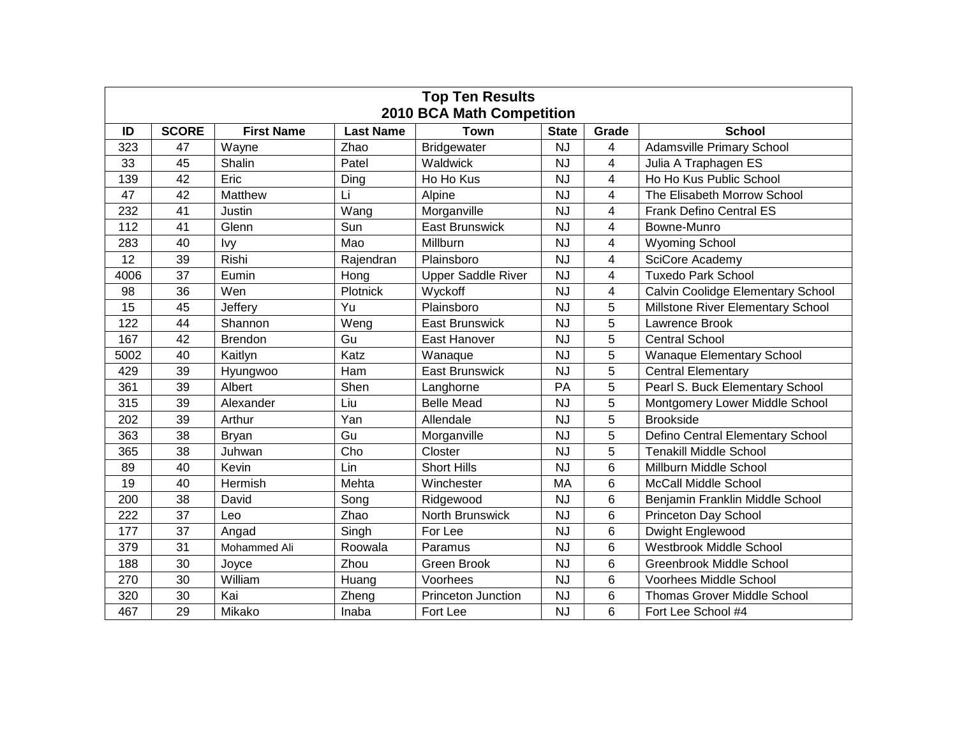| <b>Top Ten Results</b><br><b>2010 BCA Math Competition</b> |              |                   |                  |                           |              |                |                                         |  |  |  |  |
|------------------------------------------------------------|--------------|-------------------|------------------|---------------------------|--------------|----------------|-----------------------------------------|--|--|--|--|
| ID                                                         | <b>SCORE</b> | <b>First Name</b> | <b>Last Name</b> | <b>Town</b>               | <b>State</b> | Grade          | <b>School</b>                           |  |  |  |  |
| 323                                                        | 47           | Wayne             | Zhao             | <b>Bridgewater</b>        | <b>NJ</b>    | 4              | <b>Adamsville Primary School</b>        |  |  |  |  |
| 33                                                         | 45           | Shalin            | Patel            | Waldwick                  | <b>NJ</b>    | $\overline{4}$ | Julia A Traphagen ES                    |  |  |  |  |
| 139                                                        | 42           | Eric              | Ding             | Ho Ho Kus                 | <b>NJ</b>    | 4              | Ho Ho Kus Public School                 |  |  |  |  |
| 47                                                         | 42           | Matthew           | Li               | Alpine                    | <b>NJ</b>    | 4              | The Elisabeth Morrow School             |  |  |  |  |
| 232                                                        | 41           | Justin            | Wang             | Morganville               | <b>NJ</b>    | 4              | <b>Frank Defino Central ES</b>          |  |  |  |  |
| 112                                                        | 41           | Glenn             | Sun              | <b>East Brunswick</b>     | <b>NJ</b>    | 4              | Bowne-Munro                             |  |  |  |  |
| 283                                                        | 40           | Ivy               | Mao              | Millburn                  | <b>NJ</b>    | 4              | <b>Wyoming School</b>                   |  |  |  |  |
| 12                                                         | 39           | Rishi             | Rajendran        | Plainsboro                | <b>NJ</b>    | 4              | SciCore Academy                         |  |  |  |  |
| 4006                                                       | 37           | Eumin             | Hong             | <b>Upper Saddle River</b> | NJ           | 4              | Tuxedo Park School                      |  |  |  |  |
| 98                                                         | 36           | Wen               | Plotnick         | Wyckoff                   | <b>NJ</b>    | 4              | Calvin Coolidge Elementary School       |  |  |  |  |
| 15                                                         | 45           | Jeffery           | Yu               | Plainsboro                | <b>NJ</b>    | 5              | Millstone River Elementary School       |  |  |  |  |
| 122                                                        | 44           | Shannon           | Weng             | <b>East Brunswick</b>     | <b>NJ</b>    | 5              | Lawrence Brook                          |  |  |  |  |
| 167                                                        | 42           | <b>Brendon</b>    | Gu               | East Hanover              | <b>NJ</b>    | 5              | <b>Central School</b>                   |  |  |  |  |
| 5002                                                       | 40           | Kaitlyn           | Katz             | Wanaque                   | <b>NJ</b>    | 5              | <b>Wanaque Elementary School</b>        |  |  |  |  |
| 429                                                        | 39           | Hyungwoo          | Ham              | <b>East Brunswick</b>     | <b>NJ</b>    | 5              | <b>Central Elementary</b>               |  |  |  |  |
| 361                                                        | 39           | Albert            | Shen             | Langhorne                 | PA           | 5              | Pearl S. Buck Elementary School         |  |  |  |  |
| 315                                                        | 39           | Alexander         | Liu              | <b>Belle Mead</b>         | <b>NJ</b>    | 5              | Montgomery Lower Middle School          |  |  |  |  |
| 202                                                        | 39           | Arthur            | Yan              | Allendale                 | <b>NJ</b>    | 5              | <b>Brookside</b>                        |  |  |  |  |
| 363                                                        | 38           | <b>Bryan</b>      | Gu               | Morganville               | <b>NJ</b>    | 5              | <b>Defino Central Elementary School</b> |  |  |  |  |
| 365                                                        | 38           | Juhwan            | Cho              | Closter                   | <b>NJ</b>    | 5              | <b>Tenakill Middle School</b>           |  |  |  |  |
| 89                                                         | 40           | Kevin             | Lin              | <b>Short Hills</b>        | <b>NJ</b>    | 6              | Millburn Middle School                  |  |  |  |  |
| 19                                                         | 40           | Hermish           | Mehta            | Winchester                | MA           | 6              | <b>McCall Middle School</b>             |  |  |  |  |
| 200                                                        | 38           | David             | Song             | Ridgewood                 | <b>NJ</b>    | 6              | Benjamin Franklin Middle School         |  |  |  |  |
| 222                                                        | 37           | Leo               | Zhao             | North Brunswick           | <b>NJ</b>    | 6              | <b>Princeton Day School</b>             |  |  |  |  |
| 177                                                        | 37           | Angad             | Singh            | For Lee                   | <b>NJ</b>    | 6              | Dwight Englewood                        |  |  |  |  |
| 379                                                        | 31           | Mohammed Ali      | Roowala          | Paramus                   | <b>NJ</b>    | 6              | <b>Westbrook Middle School</b>          |  |  |  |  |
| 188                                                        | 30           | Joyce             | Zhou             | Green Brook               | <b>NJ</b>    | 6              | <b>Greenbrook Middle School</b>         |  |  |  |  |
| 270                                                        | 30           | William           | Huang            | Voorhees                  | <b>NJ</b>    | 6              | Voorhees Middle School                  |  |  |  |  |
| 320                                                        | 30           | Kai               | Zheng            | Princeton Junction        | <b>NJ</b>    | 6              | <b>Thomas Grover Middle School</b>      |  |  |  |  |
| 467                                                        | 29           | Mikako            | Inaba            | Fort Lee                  | <b>NJ</b>    | 6              | Fort Lee School #4                      |  |  |  |  |